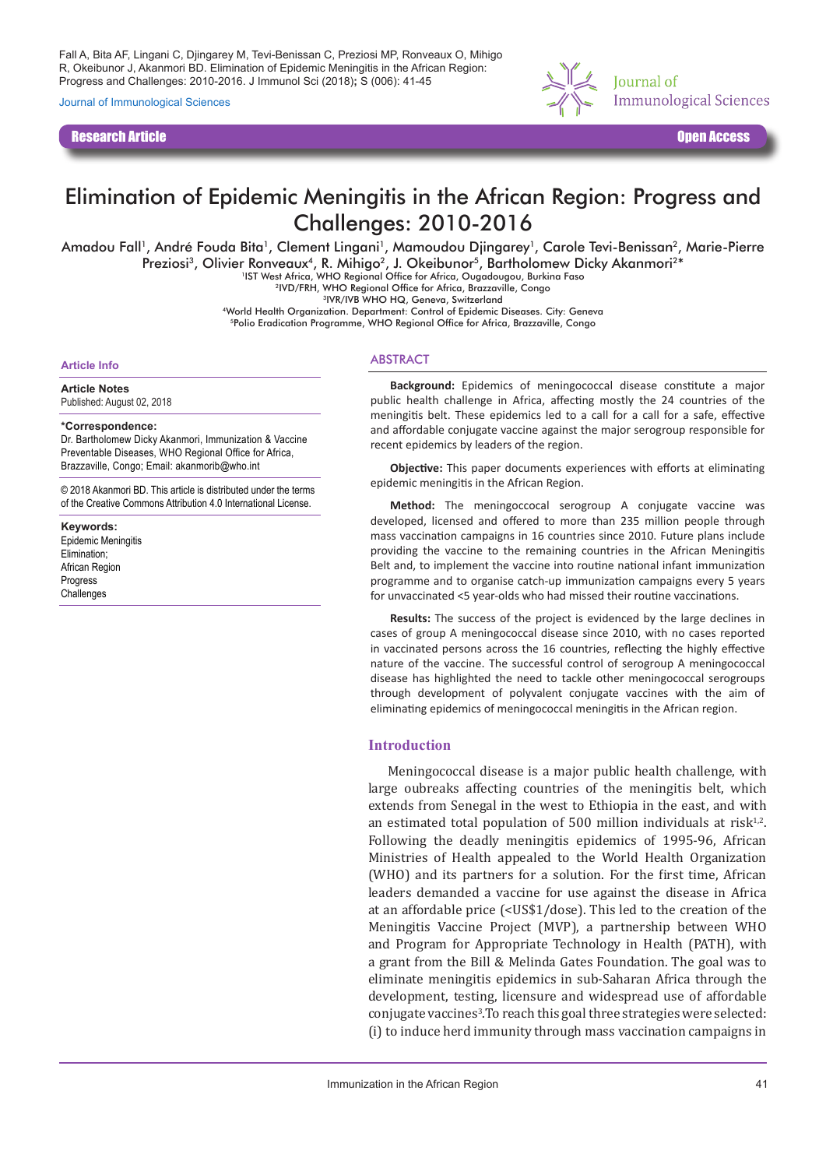Fall A, Bita AF, Lingani C, Djingarey M, Tevi-Benissan C, Preziosi MP, Ronveaux O, Mihigo R, Okeibunor J, Akanmori BD. Elimination of Epidemic Meningitis in the African Region: Progress and Challenges: 2010-2016. J Immunol Sci (2018)**;** S (006): 41-45

Journal of Immunological Sciences

Research Article Open Access



# Elimination of Epidemic Meningitis in the African Region: Progress and Challenges: 2010-2016

Amadou Fall<sup>1</sup>, André Fouda Bita<sup>1</sup>, Clement Lingani<sup>1</sup>, Mamoudou Djingarey<sup>1</sup>, Carole Tevi-Benissan<sup>2</sup>, Marie-Pierre

Preziosi<sup>3</sup>, Olivier Ronveaux<sup>4</sup>, R. Mihigo<sup>2</sup>, J. Okeibunor<sup>5</sup>, Bartholomew Dicky Akanmori<sup>2\*</sup><br>1IST West Africa, WHO Regional Office for Africa, Ougadougou, Burkina Faso

2IVD/FRH, WHO Regional Office for Africa, Brazzaville, Congo

3IVR/IVB WHO HQ, Geneva, Switzerland

4World Health Organization. Department: Control of Epidemic Diseases. City: Geneva 5Polio Eradication Programme, WHO Regional Office for Africa, Brazzaville, Congo

#### **Article Info**

**Article Notes** Published: August 02, 2018

### **\*Correspondence:**

Dr. Bartholomew Dicky Akanmori, Immunization & Vaccine Preventable Diseases, WHO Regional Office for Africa, Brazzaville, Congo; Email: akanmorib@who.int

© 2018 Akanmori BD. This article is distributed under the terms of the Creative Commons Attribution 4.0 International License.

**Keywords:** Epidemic Meningitis Elimination; African Region Progress Challenges

## ABSTRACT

**Background:** Epidemics of meningococcal disease constitute a major public health challenge in Africa, affecting mostly the 24 countries of the meningitis belt. These epidemics led to a call for a call for a safe, effective and affordable conjugate vaccine against the major serogroup responsible for recent epidemics by leaders of the region.

**Objective:** This paper documents experiences with efforts at eliminating epidemic meningitis in the African Region.

**Method:** The meningoccocal serogroup A conjugate vaccine was developed, licensed and offered to more than 235 million people through mass vaccination campaigns in 16 countries since 2010. Future plans include providing the vaccine to the remaining countries in the African Meningitis Belt and, to implement the vaccine into routine national infant immunization programme and to organise catch-up immunization campaigns every 5 years for unvaccinated <5 year-olds who had missed their routine vaccinations.

**Results:** The success of the project is evidenced by the large declines in cases of group A meningococcal disease since 2010, with no cases reported in vaccinated persons across the 16 countries, reflecting the highly effective nature of the vaccine. The successful control of serogroup A meningococcal disease has highlighted the need to tackle other meningococcal serogroups through development of polyvalent conjugate vaccines with the aim of eliminating epidemics of meningococcal meningitis in the African region.

### **Introduction**

Meningococcal disease is a major public health challenge, with large oubreaks affecting countries of the meningitis belt, which extends from Senegal in the west to Ethiopia in the east, and with an estimated total population of 500 million individuals at risk $1,2$ . Following the deadly meningitis epidemics of 1995-96, African Ministries of Health appealed to the World Health Organization (WHO) and its partners for a solution. For the first time, African leaders demanded a vaccine for use against the disease in Africa at an affordable price (<US\$1/dose). This led to the creation of the Meningitis Vaccine Project (MVP), a partnership between WHO and Program for Appropriate Technology in Health (PATH), with a grant from the Bill & Melinda Gates Foundation. The goal was to eliminate meningitis epidemics in sub-Saharan Africa through the development, testing, licensure and widespread use of affordable conjugate vaccines3 .To reach this goal three strategies were selected: (i) to induce herd immunity through mass vaccination campaigns in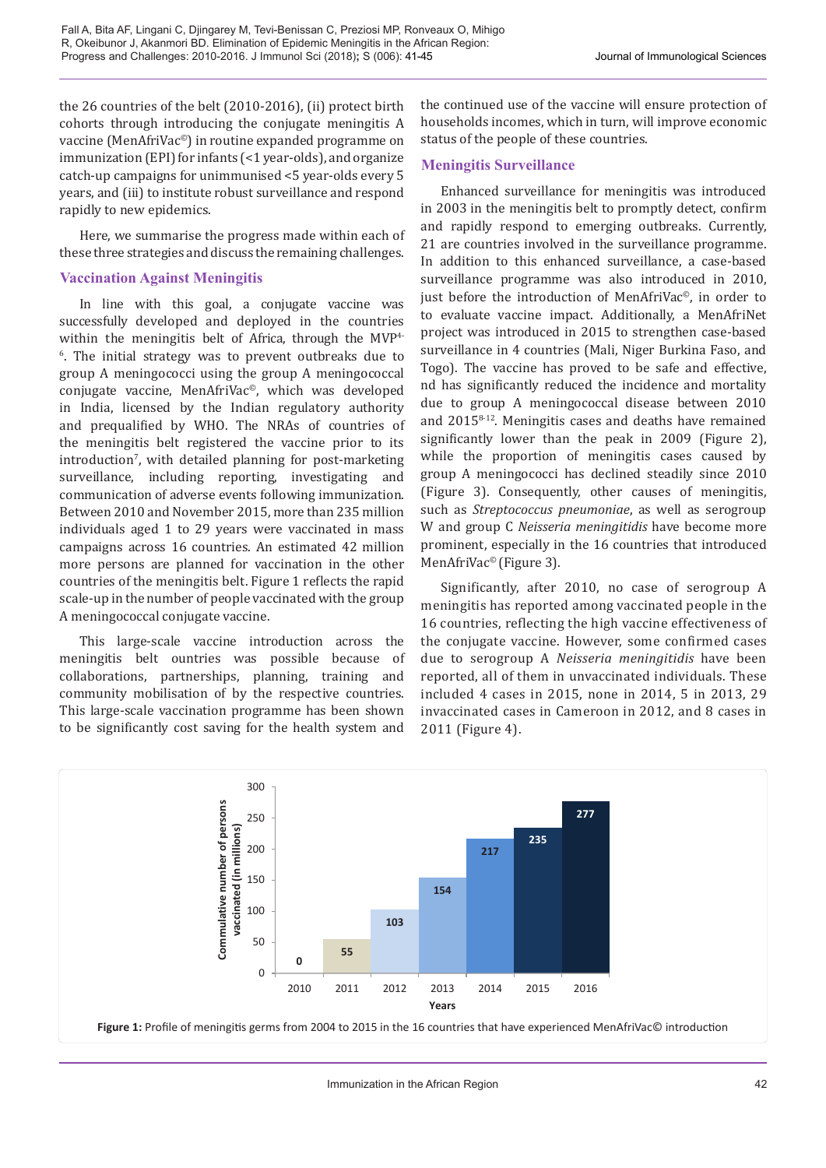the 26 countries of the belt (2010-2016), (ii) protect birth cohorts through introducing the conjugate meningitis A vaccine (MenAfriVac©) in routine expanded programme on immunization (EPI) for infants (<1 year-olds), and organize catch-up campaigns for unimmunised <5 year-olds every 5 years, and (iii) to institute robust surveillance and respond rapidly to new epidemics.

Here, we summarise the progress made within each of these three strategies and discuss the remaining challenges.

## **Vaccination Against Meningitis**

In line with this goal, a conjugate vaccine was successfully developed and deployed in the countries within the meningitis belt of Africa, through the MVP4- 6 . The initial strategy was to prevent outbreaks due to group A meningococci using the group A meningococcal conjugate vaccine, MenAfriVac©, which was developed in India, licensed by the Indian regulatory authority and prequalified by WHO. The NRAs of countries of the meningitis belt registered the vaccine prior to its introduction<sup>7</sup>, with detailed planning for post-marketing surveillance, including reporting, investigating and communication of adverse events following immunization. Between 2010 and November 2015, more than 235 million individuals aged 1 to 29 years were vaccinated in mass campaigns across 16 countries. An estimated 42 million more persons are planned for vaccination in the other countries of the meningitis belt. Figure 1 reflects the rapid scale-up in the number of people vaccinated with the group A meningococcal conjugate vaccine.

This large-scale vaccine introduction across the meningitis belt ountries was possible because of collaborations, partnerships, planning, training and community mobilisation of by the respective countries. This large-scale vaccination programme has been shown to be significantly cost saving for the health system and

the continued use of the vaccine will ensure protection of households incomes, which in turn, will improve economic status of the people of these countries.

## **Meningitis Surveillance**

Enhanced surveillance for meningitis was introduced in 2003 in the meningitis belt to promptly detect, confirm and rapidly respond to emerging outbreaks. Currently, 21 are countries involved in the surveillance programme. In addition to this enhanced surveillance, a case-based surveillance programme was also introduced in 2010, just before the introduction of MenAfriVac©, in order to to evaluate vaccine impact. Additionally, a MenAfriNet project was introduced in 2015 to strengthen case-based surveillance in 4 countries (Mali, Niger Burkina Faso, and Togo). The vaccine has proved to be safe and effective, nd has significantly reduced the incidence and mortality due to group A meningococcal disease between 2010 and 20158-12. Meningitis cases and deaths have remained significantly lower than the peak in 2009 (Figure 2), while the proportion of meningitis cases caused by group A meningococci has declined steadily since 2010 (Figure 3). Consequently, other causes of meningitis, such as *Streptococcus pneumoniae*, as well as serogroup W and group C *Neisseria meningitidis* have become more prominent, especially in the 16 countries that introduced MenAfriVac<sup>©</sup> (Figure 3).

Significantly, after 2010, no case of serogroup A meningitis has reported among vaccinated people in the 16 countries, reflecting the high vaccine effectiveness of the conjugate vaccine. However, some confirmed cases due to serogroup A *Neisseria meningitidis* have been reported, all of them in unvaccinated individuals. These included 4 cases in 2015, none in 2014, 5 in 2013, 29 invaccinated cases in Cameroon in 2012, and 8 cases in 2011 (Figure 4).

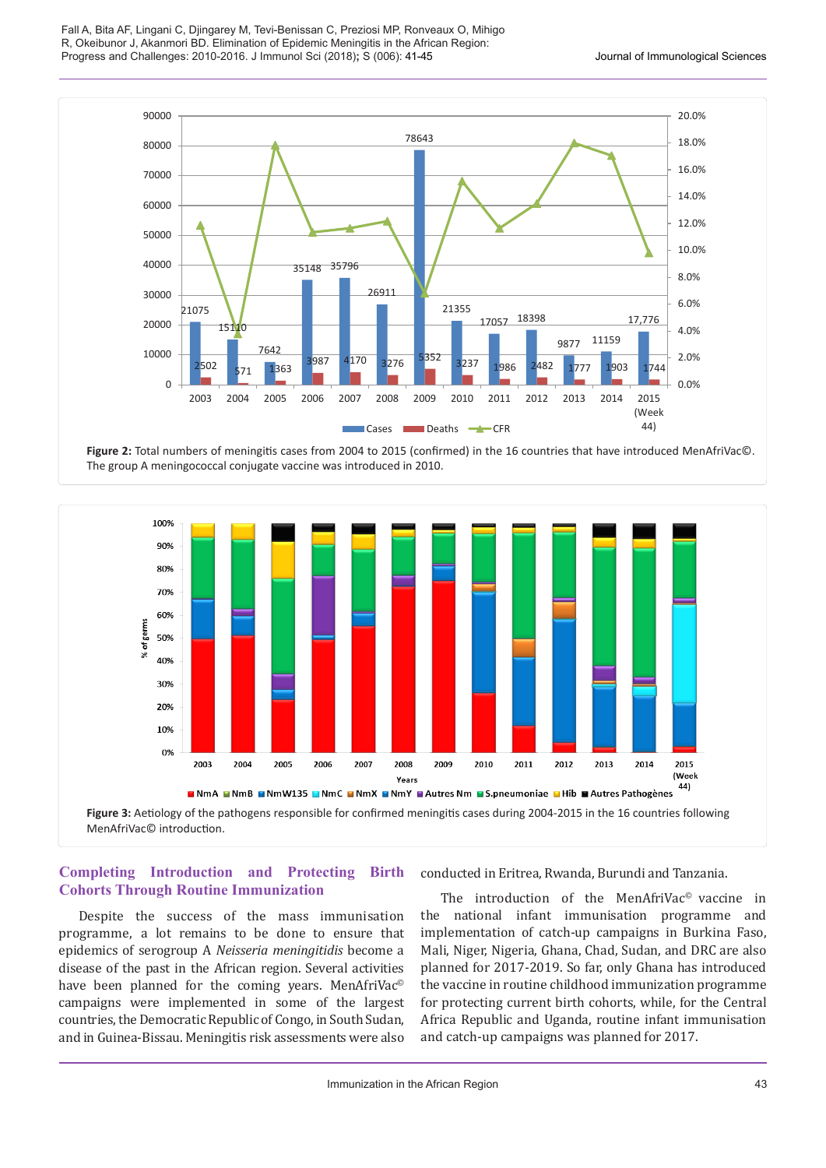



**Figure 2:** Total numbers of meningitis cases from 2004 to 2015 (confirmed) in the 16 countries that have introduced MenAfriVac©. The group A meningococcal conjugate vaccine was introduced in 2010.



# **Completing Introduction and Protecting Birth Cohorts Through Routine Immunization**

Despite the success of the mass immunisation programme, a lot remains to be done to ensure that epidemics of serogroup A *Neisseria meningitidis* become a disease of the past in the African region. Several activities have been planned for the coming years. MenAfriVac<sup>®</sup> campaigns were implemented in some of the largest countries, the Democratic Republic of Congo, in South Sudan, and in Guinea-Bissau. Meningitis risk assessments were also

conducted in Eritrea, Rwanda, Burundi and Tanzania.

The introduction of the MenAfriVac<sup>®</sup> vaccine in the national infant immunisation programme and implementation of catch-up campaigns in Burkina Faso, Mali, Niger, Nigeria, Ghana, Chad, Sudan, and DRC are also planned for 2017-2019. So far, only Ghana has introduced the vaccine in routine childhood immunization programme for protecting current birth cohorts, while, for the Central Africa Republic and Uganda, routine infant immunisation and catch-up campaigns was planned for 2017.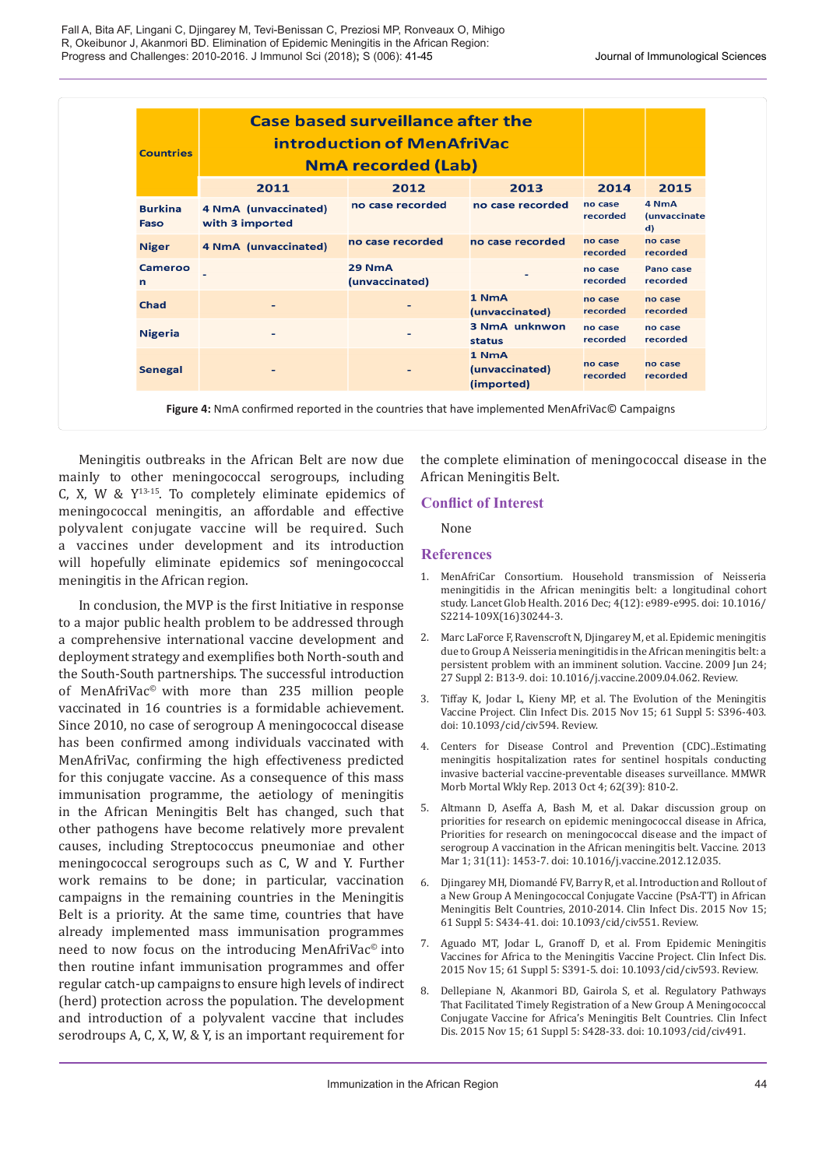| <b>Countries</b>       | <b>Case based surveillance after the</b><br>introduction of MenAfriVac<br><b>NmA recorded (Lab)</b> |                          |                                       |                     |                                              |
|------------------------|-----------------------------------------------------------------------------------------------------|--------------------------|---------------------------------------|---------------------|----------------------------------------------|
|                        | 2011                                                                                                | 2012                     | 2013                                  | 2014                | 2015                                         |
| <b>Burkina</b><br>Faso | 4 NmA (unvaccinated)<br>with 3 imported                                                             | no case recorded         | no case recorded                      | no case<br>recorded | 4 NmA<br><i>(unvaccinate</i><br>$\mathbf{d}$ |
| <b>Niger</b>           | 4 NmA (unvaccinated)                                                                                | no case recorded         | no case recorded                      | no case<br>recorded | no case<br>recorded                          |
| Cameroo<br>n           |                                                                                                     | 29 NmA<br>(unvaccinated) |                                       | no case<br>recorded | Pano case<br>recorded                        |
| <b>Chad</b>            |                                                                                                     |                          | 1 NmA<br>(unvaccinated)               | no case<br>recorded | no case<br>recorded                          |
| <b>Nigeria</b>         | ٠                                                                                                   | $\overline{\phantom{0}}$ | <b>3 NmA unknwon</b><br>status        | no case<br>recorded | no case<br>recorded                          |
| <b>Senegal</b>         |                                                                                                     |                          | 1 NmA<br>(unvaccinated)<br>(imported) | no case<br>recorded | no case<br>recorded                          |

Meningitis outbreaks in the African Belt are now due mainIy to other meningococcal serogroups, including C, X, W &  $Y^{13-15}$ . To completely eliminate epidemics of meningococcal meningitis, an affordable and effective polyvalent conjugate vaccine will be required. Such a vaccines under development and its introduction will hopefully eliminate epidemics sof meningococcal meningitis in the African region.

In conclusion, the MVP is the first Initiative in response to a major public health problem to be addressed through a comprehensive international vaccine development and deployment strategy and exemplifies both North-south and the South-South partnerships. The successful introduction of MenAfriVac© with more than 235 million people vaccinated in 16 countries is a formidable achievement. Since 2010, no case of serogroup A meningococcal disease has been confirmed among individuals vaccinated with MenAfriVac, confirming the high effectiveness predicted for this conjugate vaccine. As a consequence of this mass immunisation programme, the aetiology of meningitis in the African Meningitis Belt has changed, such that other pathogens have become relatively more prevalent causes, including Streptococcus pneumoniae and other meningococcal serogroups such as C, W and Y. Further work remains to be done; in particular, vaccination campaigns in the remaining countries in the Meningitis Belt is a priority. At the same time, countries that have already implemented mass immunisation programmes need to now focus on the introducing MenAfriVac<sup>®</sup> into then routine infant immunisation programmes and offer regular catch-up campaigns to ensure high levels of indirect (herd) protection across the population. The development and introduction of a polyvalent vaccine that includes serodroups A, C, X, W, & Y, is an important requirement for the complete elimination of meningococcal disease in the African Meningitis Belt.

# **Conflict of Interest**

None

## **References**

- 1. MenAfriCar Consortium. Household transmission of Neisseria meningitidis in the African meningitis belt: a longitudinal cohort study. Lancet Glob Health. 2016 Dec; 4(12): e989-e995. doi: 10.1016/ S2214-109X(16)30244-3.
- 2. Marc LaForce F, Ravenscroft N, Djingarey M, et al. Epidemic meningitis due to Group A Neisseria meningitidis in the African meningitis belt: a persistent problem with an imminent solution. Vaccine. 2009 Jun 24; 27 Suppl 2: B13-9. doi: 10.1016/j.vaccine.2009.04.062. Review.
- 3. Tiffay K, Jodar L, Kieny MP, et al. The Evolution of the Meningitis Vaccine Project. Clin Infect Dis. 2015 Nov 15; 61 Suppl 5: S396-403. doi: 10.1093/cid/civ594. Review.
- 4. Centers for Disease Control and Prevention (CDC)..Estimating meningitis hospitalization rates for sentinel hospitals conducting invasive bacterial vaccine-preventable diseases surveillance. MMWR Morb Mortal Wkly Rep. 2013 Oct 4; 62(39): 810-2.
- 5. Altmann D, Aseffa A, Bash M, et al. Dakar discussion group on priorities for research on epidemic meningococcal disease in Africa, Priorities for research on meningococcal disease and the impact of serogroup A vaccination in the African meningitis belt. Vaccine. 2013 Mar 1; 31(11): 1453-7. doi: 10.1016/j.vaccine.2012.12.035.
- 6. Djingarey MH, Diomandé FV, Barry R, et al. Introduction and Rollout of a New Group A Meningococcal Conjugate Vaccine (PsA-TT) in African Meningitis Belt Countries, 2010-2014. Clin Infect Dis. 2015 Nov 15; 61 Suppl 5: S434-41. doi: 10.1093/cid/civ551. Review.
- 7. Aguado MT, Jodar L, Granoff D, et al. From Epidemic Meningitis Vaccines for Africa to the Meningitis Vaccine Project. Clin Infect Dis. 2015 Nov 15; 61 Suppl 5: S391-5. doi: 10.1093/cid/civ593. Review.
- 8. Dellepiane N, Akanmori BD, Gairola S, et al. Regulatory Pathways That Facilitated Timely Registration of a New Group A Meningococcal Conjugate Vaccine for Africa's Meningitis Belt Countries. Clin Infect Dis. 2015 Nov 15; 61 Suppl 5: S428-33. doi: 10.1093/cid/civ491.